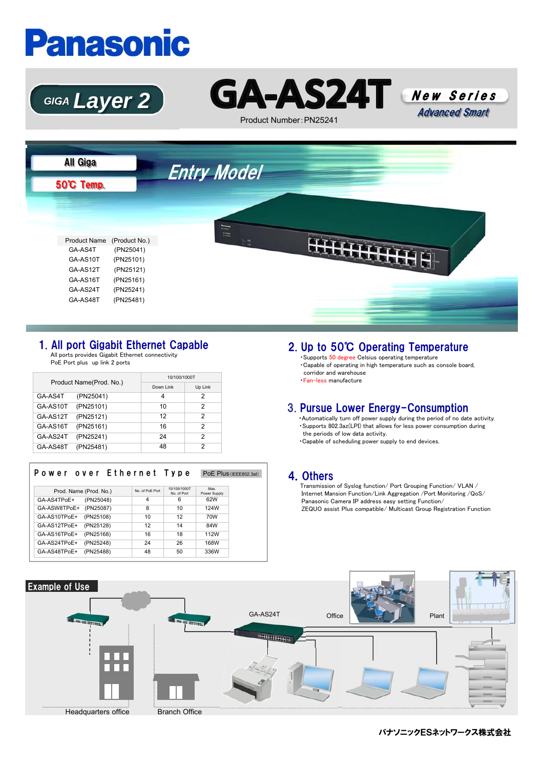# **Panasonic**





Product Number:PN25241





### 1. All port Gigabit Ethernet Capable

All ports provides Gigabit Ethernet connectivity PoE Port plus up link 2 ports

| Product Name(Prod. No.) |           | 10/100/1000T |         |  |
|-------------------------|-----------|--------------|---------|--|
|                         |           | Down Link    | Up Link |  |
| GA-AS4T                 | (PN25041) | 4            | 2       |  |
| GA-AS10T                | (PN25101) | 10           | 2       |  |
| GA-AS12T                | (PN25121) | 12           | 2       |  |
| GA-AS16T                | (PN25161) | 16           | 2       |  |
| GA-AS24T                | (PN25241) | 24           | 2       |  |
| GA-AS48T                | (PN25481) | 48           | っ       |  |

| Power over Ethernet Type  |                |                            |                     | PoE Plus (IEEE802.3at) |
|---------------------------|----------------|----------------------------|---------------------|------------------------|
| Prod. Name (Prod. No.)    | No of PoF Port | 10/100/1000T<br>No of Port | Max                 |                        |
| GA-AS4TPoE+<br>(PN25048)  | 4              | 6                          | Power Supply<br>62W |                        |
| GA-ASW8TPoE+<br>(PN25087) | 8              | 10                         | 124W                |                        |
| (PN25108)<br>GA-AS10TPoE+ | 10             | 12                         | 70W                 |                        |
| (PN25128)<br>GA-AS12TPoE+ | 12             | 14                         | 84W                 |                        |
| (PN25168)<br>GA-AS16TPoE+ | 16             | 18                         | 112W                |                        |
| (PN25248)<br>GA-AS24TPoE+ | 24             | 26                         | 168W                |                        |
| (PN25488)<br>GA-AS48TPoE+ | 48             | 50                         | 336W                |                        |

## 2. Up to 50℃ Operating Temperature

・Supports 50 degree Celsius operating temperature ・Capable of operating in high temperature such as console board, corridor and warehouse ・Fan-less manufacture

### 3. Pursue Lower Energy-Consumption

・Automatically turn off power supply during the period of no date activity. ・Supports 802.3az(LPI) that allows for less power consumption during the periods of low data activity.

・Capable of scheduling power supply to end devices.

#### 4.Others

Transmission of Syslog function/ Port Grouping Function/ VLAN / Internet Mansion Function/Link Aggregation /Port Monitoring /QoS/ Panasonic Camera IP address easy setting Function/ ZEQUO assist Plus compatible/ Multicast Group Registration Function